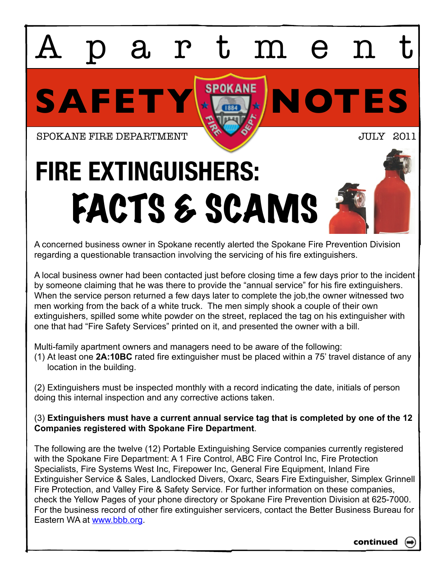## SAFETY **NOTES** artmen SPOKANE FIRE DEPARTMENT **JULY** 2011 **FIRE EXTINGUISHERS:**  FACTS & SCAMS

A concerned business owner in Spokane recently alerted the Spokane Fire Prevention Division regarding a questionable transaction involving the servicing of his fire extinguishers.

A local business owner had been contacted just before closing time a few days prior to the incident by someone claiming that he was there to provide the "annual service" for his fire extinguishers. When the service person returned a few days later to complete the job, the owner witnessed two men working from the back of a white truck. The men simply shook a couple of their own extinguishers, spilled some white powder on the street, replaced the tag on his extinguisher with one that had "Fire Safety Services" printed on it, and presented the owner with a bill.

Multi-family apartment owners and managers need to be aware of the following:

(1) At least one **2A:10BC** rated fire extinguisher must be placed within a 75' travel distance of any location in the building.

(2) Extinguishers must be inspected monthly with a record indicating the date, initials of person doing this internal inspection and any corrective actions taken.

## (3) **Extinguishers must have a current annual service tag that is completed by one of the 12 Companies registered with Spokane Fire Department**.

The following are the twelve (12) Portable Extinguishing Service companies currently registered with the Spokane Fire Department: A 1 Fire Control, ABC Fire Control Inc, Fire Protection Specialists, Fire Systems West Inc, Firepower Inc, General Fire Equipment, Inland Fire Extinguisher Service & Sales, Landlocked Divers, Oxarc, Sears Fire Extinguisher, Simplex Grinnell Fire Protection, and Valley Fire & Safety Service. For further information on these companies, check the Yellow Pages of your phone directory or Spokane Fire Prevention Division at 625-7000. For the business record of other fire extinguisher servicers, contact the Better Business Bureau for Eastern WA at [www.bbb.org.](http://www.bbb.org)